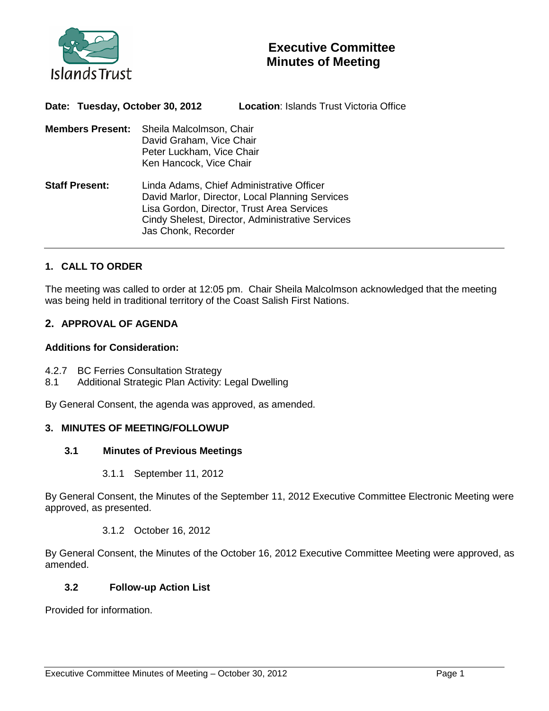

| Date: Tuesday, October 30, 2012 |                                                                                                              | <b>Location: Islands Trust Victoria Office</b>                                                                                                                                                 |
|---------------------------------|--------------------------------------------------------------------------------------------------------------|------------------------------------------------------------------------------------------------------------------------------------------------------------------------------------------------|
| Members Present:                | Sheila Malcolmson, Chair<br>David Graham, Vice Chair<br>Peter Luckham, Vice Chair<br>Ken Hancock, Vice Chair |                                                                                                                                                                                                |
| <b>Staff Present:</b>           | Jas Chonk, Recorder                                                                                          | Linda Adams, Chief Administrative Officer<br>David Marlor, Director, Local Planning Services<br>Lisa Gordon, Director, Trust Area Services<br>Cindy Shelest, Director, Administrative Services |

# **1. CALL TO ORDER**

The meeting was called to order at 12:05 pm. Chair Sheila Malcolmson acknowledged that the meeting was being held in traditional territory of the Coast Salish First Nations.

# **2. APPROVAL OF AGENDA**

### **Additions for Consideration:**

- 4.2.7 BC Ferries Consultation Strategy
- 8.1 Additional Strategic Plan Activity: Legal Dwelling

By General Consent, the agenda was approved, as amended.

### **3. MINUTES OF MEETING/FOLLOWUP**

#### **3.1 Minutes of Previous Meetings**

3.1.1 September 11, 2012

By General Consent, the Minutes of the September 11, 2012 Executive Committee Electronic Meeting were approved, as presented.

3.1.2 October 16, 2012

By General Consent, the Minutes of the October 16, 2012 Executive Committee Meeting were approved, as amended.

### **3.2 Follow-up Action List**

Provided for information.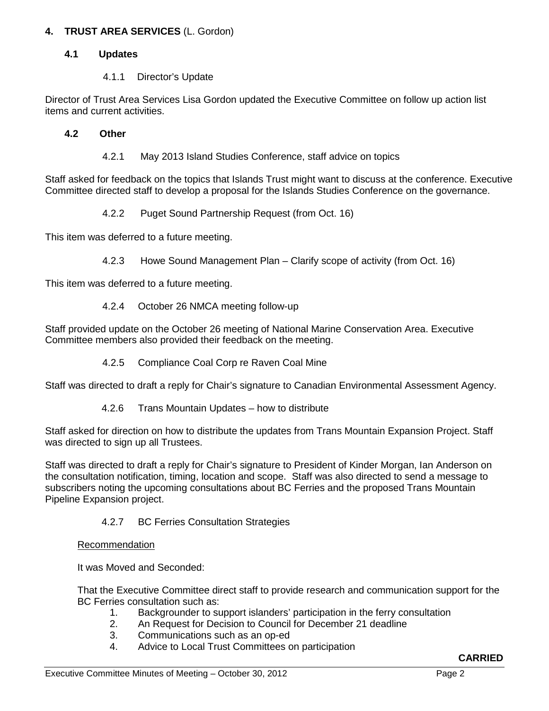# **4. TRUST AREA SERVICES** (L. Gordon)

## **4.1 Updates**

## 4.1.1 Director's Update

Director of Trust Area Services Lisa Gordon updated the Executive Committee on follow up action list items and current activities.

## **4.2 Other**

4.2.1 May 2013 Island Studies Conference, staff advice on topics

Staff asked for feedback on the topics that Islands Trust might want to discuss at the conference. Executive Committee directed staff to develop a proposal for the Islands Studies Conference on the governance.

4.2.2 Puget Sound Partnership Request (from Oct. 16)

This item was deferred to a future meeting.

4.2.3 Howe Sound Management Plan – Clarify scope of activity (from Oct. 16)

This item was deferred to a future meeting.

4.2.4 October 26 NMCA meeting follow-up

Staff provided update on the October 26 meeting of National Marine Conservation Area. Executive Committee members also provided their feedback on the meeting.

4.2.5 Compliance Coal Corp re Raven Coal Mine

Staff was directed to draft a reply for Chair's signature to Canadian Environmental Assessment Agency.

4.2.6 Trans Mountain Updates – how to distribute

Staff asked for direction on how to distribute the updates from Trans Mountain Expansion Project. Staff was directed to sign up all Trustees.

Staff was directed to draft a reply for Chair's signature to President of Kinder Morgan, Ian Anderson on the consultation notification, timing, location and scope. Staff was also directed to send a message to subscribers noting the upcoming consultations about BC Ferries and the proposed Trans Mountain Pipeline Expansion project.

4.2.7 BC Ferries Consultation Strategies

### Recommendation

It was Moved and Seconded:

That the Executive Committee direct staff to provide research and communication support for the BC Ferries consultation such as:

- 1. Backgrounder to support islanders' participation in the ferry consultation
- 2. An Request for Decision to Council for December 21 deadline
- 3. Communications such as an op-ed
- 4. Advice to Local Trust Committees on participation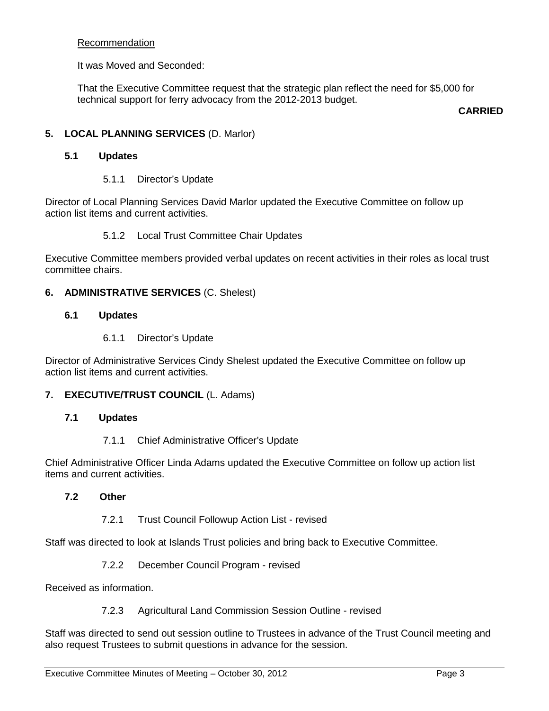### Recommendation

It was Moved and Seconded:

That the Executive Committee request that the strategic plan reflect the need for \$5,000 for technical support for ferry advocacy from the 2012-2013 budget.

**CARRIED**

## **5. LOCAL PLANNING SERVICES** (D. Marlor)

### **5.1 Updates**

5.1.1 Director's Update

Director of Local Planning Services David Marlor updated the Executive Committee on follow up action list items and current activities.

### 5.1.2 Local Trust Committee Chair Updates

Executive Committee members provided verbal updates on recent activities in their roles as local trust committee chairs.

### **6. ADMINISTRATIVE SERVICES** (C. Shelest)

### **6.1 Updates**

6.1.1 Director's Update

Director of Administrative Services Cindy Shelest updated the Executive Committee on follow up action list items and current activities.

### **7. EXECUTIVE/TRUST COUNCIL** (L. Adams)

#### **7.1 Updates**

7.1.1 Chief Administrative Officer's Update

Chief Administrative Officer Linda Adams updated the Executive Committee on follow up action list items and current activities.

#### **7.2 Other**

7.2.1 Trust Council Followup Action List - revised

Staff was directed to look at Islands Trust policies and bring back to Executive Committee.

7.2.2 December Council Program - revised

Received as information.

7.2.3 Agricultural Land Commission Session Outline - revised

Staff was directed to send out session outline to Trustees in advance of the Trust Council meeting and also request Trustees to submit questions in advance for the session.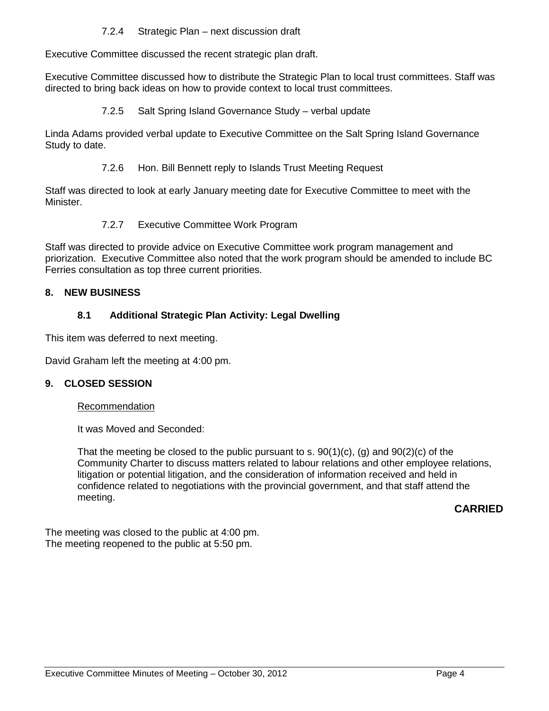7.2.4 Strategic Plan – next discussion draft

Executive Committee discussed the recent strategic plan draft.

Executive Committee discussed how to distribute the Strategic Plan to local trust committees. Staff was directed to bring back ideas on how to provide context to local trust committees.

7.2.5 Salt Spring Island Governance Study – verbal update

Linda Adams provided verbal update to Executive Committee on the Salt Spring Island Governance Study to date.

7.2.6 Hon. Bill Bennett reply to Islands Trust Meeting Request

Staff was directed to look at early January meeting date for Executive Committee to meet with the Minister.

# 7.2.7 Executive Committee Work Program

Staff was directed to provide advice on Executive Committee work program management and priorization. Executive Committee also noted that the work program should be amended to include BC Ferries consultation as top three current priorities.

# **8. NEW BUSINESS**

# **8.1 Additional Strategic Plan Activity: Legal Dwelling**

This item was deferred to next meeting.

David Graham left the meeting at 4:00 pm.

### **9. CLOSED SESSION**

#### Recommendation

It was Moved and Seconded:

That the meeting be closed to the public pursuant to s.  $90(1)(c)$ , (g) and  $90(2)(c)$  of the Community Charter to discuss matters related to labour relations and other employee relations, litigation or potential litigation, and the consideration of information received and held in confidence related to negotiations with the provincial government, and that staff attend the meeting.

# **CARRIED**

The meeting was closed to the public at 4:00 pm. The meeting reopened to the public at 5:50 pm.